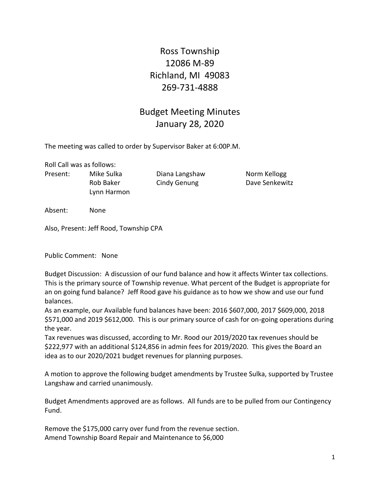Ross Township 12086 M-89 Richland, MI 49083 269-731-4888

## Budget Meeting Minutes January 28, 2020

The meeting was called to order by Supervisor Baker at 6:00P.M.

Roll Call was as follows:

Present: Mike Sulka Diana Langshaw Norm Kellogg Lynn Harmon

Rob Baker Cindy Genung Dave Senkewitz

Absent: None

Also, Present: Jeff Rood, Township CPA

Public Comment: None

Budget Discussion: A discussion of our fund balance and how it affects Winter tax collections. This is the primary source of Township revenue. What percent of the Budget is appropriate for an on going fund balance? Jeff Rood gave his guidance as to how we show and use our fund balances.

As an example, our Available fund balances have been: 2016 \$607,000, 2017 \$609,000, 2018 \$571,000 and 2019 \$612,000. This is our primary source of cash for on-going operations during the year.

Tax revenues was discussed, according to Mr. Rood our 2019/2020 tax revenues should be \$222,977 with an additional \$124,856 in admin fees for 2019/2020. This gives the Board an idea as to our 2020/2021 budget revenues for planning purposes.

A motion to approve the following budget amendments by Trustee Sulka, supported by Trustee Langshaw and carried unanimously.

Budget Amendments approved are as follows. All funds are to be pulled from our Contingency Fund.

Remove the \$175,000 carry over fund from the revenue section. Amend Township Board Repair and Maintenance to \$6,000